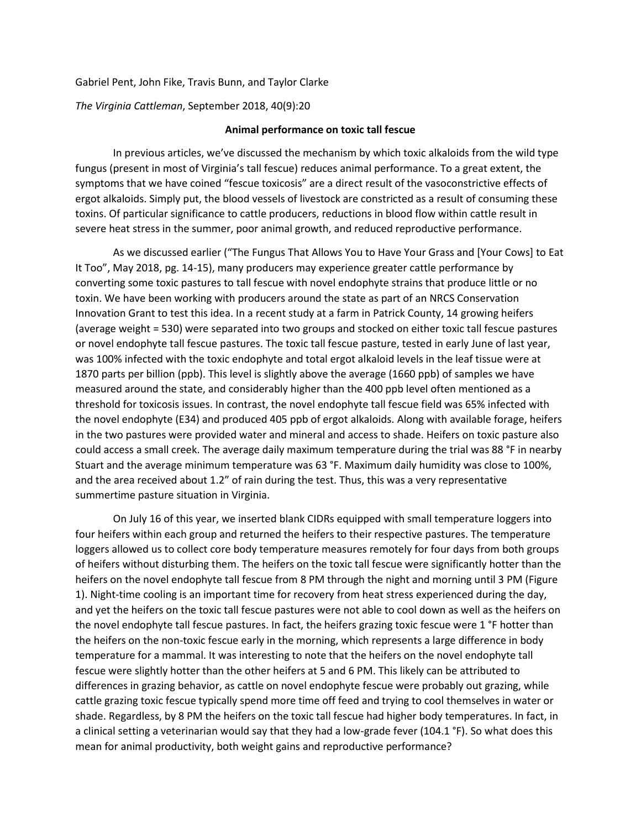## Gabriel Pent, John Fike, Travis Bunn, and Taylor Clarke

*The Virginia Cattleman*, September 2018, 40(9):20

## **Animal performance on toxic tall fescue**

In previous articles, we've discussed the mechanism by which toxic alkaloids from the wild type fungus (present in most of Virginia's tall fescue) reduces animal performance. To a great extent, the symptoms that we have coined "fescue toxicosis" are a direct result of the vasoconstrictive effects of ergot alkaloids. Simply put, the blood vessels of livestock are constricted as a result of consuming these toxins. Of particular significance to cattle producers, reductions in blood flow within cattle result in severe heat stress in the summer, poor animal growth, and reduced reproductive performance.

As we discussed earlier ("The Fungus That Allows You to Have Your Grass and [Your Cows] to Eat It Too", May 2018, pg. 14-15), many producers may experience greater cattle performance by converting some toxic pastures to tall fescue with novel endophyte strains that produce little or no toxin. We have been working with producers around the state as part of an NRCS Conservation Innovation Grant to test this idea. In a recent study at a farm in Patrick County, 14 growing heifers (average weight = 530) were separated into two groups and stocked on either toxic tall fescue pastures or novel endophyte tall fescue pastures. The toxic tall fescue pasture, tested in early June of last year, was 100% infected with the toxic endophyte and total ergot alkaloid levels in the leaf tissue were at 1870 parts per billion (ppb). This level is slightly above the average (1660 ppb) of samples we have measured around the state, and considerably higher than the 400 ppb level often mentioned as a threshold for toxicosis issues. In contrast, the novel endophyte tall fescue field was 65% infected with the novel endophyte (E34) and produced 405 ppb of ergot alkaloids. Along with available forage, heifers in the two pastures were provided water and mineral and access to shade. Heifers on toxic pasture also could access a small creek. The average daily maximum temperature during the trial was 88 °F in nearby Stuart and the average minimum temperature was 63 °F. Maximum daily humidity was close to 100%, and the area received about 1.2" of rain during the test. Thus, this was a very representative summertime pasture situation in Virginia.

On July 16 of this year, we inserted blank CIDRs equipped with small temperature loggers into four heifers within each group and returned the heifers to their respective pastures. The temperature loggers allowed us to collect core body temperature measures remotely for four days from both groups of heifers without disturbing them. The heifers on the toxic tall fescue were significantly hotter than the heifers on the novel endophyte tall fescue from 8 PM through the night and morning until 3 PM (Figure 1). Night-time cooling is an important time for recovery from heat stress experienced during the day, and yet the heifers on the toxic tall fescue pastures were not able to cool down as well as the heifers on the novel endophyte tall fescue pastures. In fact, the heifers grazing toxic fescue were 1 °F hotter than the heifers on the non-toxic fescue early in the morning, which represents a large difference in body temperature for a mammal. It was interesting to note that the heifers on the novel endophyte tall fescue were slightly hotter than the other heifers at 5 and 6 PM. This likely can be attributed to differences in grazing behavior, as cattle on novel endophyte fescue were probably out grazing, while cattle grazing toxic fescue typically spend more time off feed and trying to cool themselves in water or shade. Regardless, by 8 PM the heifers on the toxic tall fescue had higher body temperatures. In fact, in a clinical setting a veterinarian would say that they had a low-grade fever (104.1 °F). So what does this mean for animal productivity, both weight gains and reproductive performance?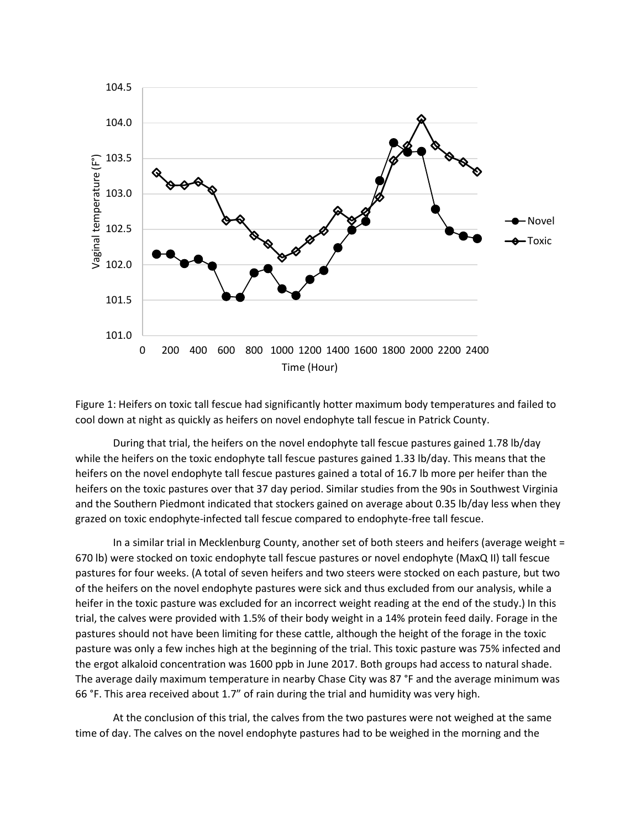

Figure 1: Heifers on toxic tall fescue had significantly hotter maximum body temperatures and failed to cool down at night as quickly as heifers on novel endophyte tall fescue in Patrick County.

During that trial, the heifers on the novel endophyte tall fescue pastures gained 1.78 lb/day while the heifers on the toxic endophyte tall fescue pastures gained 1.33 lb/day. This means that the heifers on the novel endophyte tall fescue pastures gained a total of 16.7 lb more per heifer than the heifers on the toxic pastures over that 37 day period. Similar studies from the 90s in Southwest Virginia and the Southern Piedmont indicated that stockers gained on average about 0.35 lb/day less when they grazed on toxic endophyte-infected tall fescue compared to endophyte-free tall fescue.

In a similar trial in Mecklenburg County, another set of both steers and heifers (average weight = 670 lb) were stocked on toxic endophyte tall fescue pastures or novel endophyte (MaxQ II) tall fescue pastures for four weeks. (A total of seven heifers and two steers were stocked on each pasture, but two of the heifers on the novel endophyte pastures were sick and thus excluded from our analysis, while a heifer in the toxic pasture was excluded for an incorrect weight reading at the end of the study.) In this trial, the calves were provided with 1.5% of their body weight in a 14% protein feed daily. Forage in the pastures should not have been limiting for these cattle, although the height of the forage in the toxic pasture was only a few inches high at the beginning of the trial. This toxic pasture was 75% infected and the ergot alkaloid concentration was 1600 ppb in June 2017. Both groups had access to natural shade. The average daily maximum temperature in nearby Chase City was 87 °F and the average minimum was 66 °F. This area received about 1.7" of rain during the trial and humidity was very high.

At the conclusion of this trial, the calves from the two pastures were not weighed at the same time of day. The calves on the novel endophyte pastures had to be weighed in the morning and the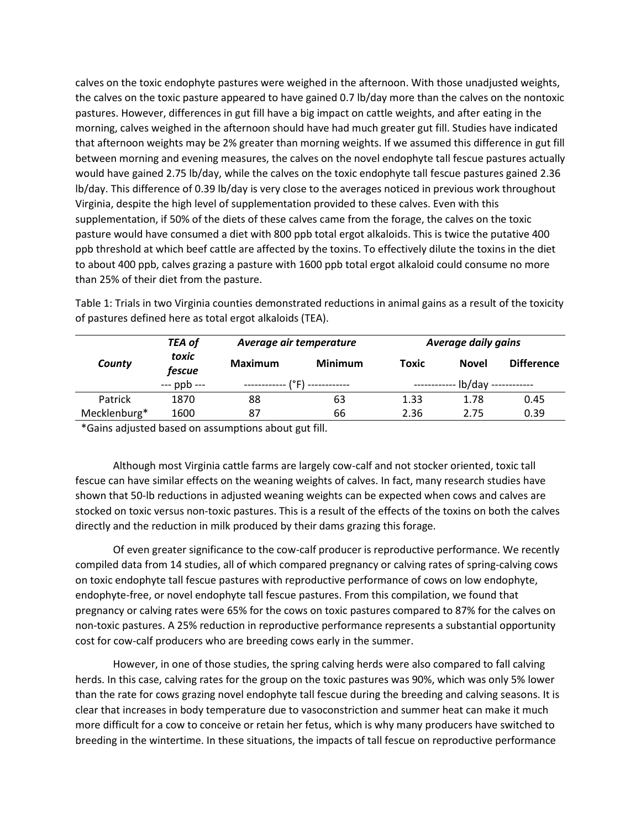calves on the toxic endophyte pastures were weighed in the afternoon. With those unadjusted weights, the calves on the toxic pasture appeared to have gained 0.7 lb/day more than the calves on the nontoxic pastures. However, differences in gut fill have a big impact on cattle weights, and after eating in the morning, calves weighed in the afternoon should have had much greater gut fill. Studies have indicated that afternoon weights may be 2% greater than morning weights. If we assumed this difference in gut fill between morning and evening measures, the calves on the novel endophyte tall fescue pastures actually would have gained 2.75 lb/day, while the calves on the toxic endophyte tall fescue pastures gained 2.36 lb/day. This difference of 0.39 lb/day is very close to the averages noticed in previous work throughout Virginia, despite the high level of supplementation provided to these calves. Even with this supplementation, if 50% of the diets of these calves came from the forage, the calves on the toxic pasture would have consumed a diet with 800 ppb total ergot alkaloids. This is twice the putative 400 ppb threshold at which beef cattle are affected by the toxins. To effectively dilute the toxins in the diet to about 400 ppb, calves grazing a pasture with 1600 ppb total ergot alkaloid could consume no more than 25% of their diet from the pasture.

| County       | <b>TEA of</b><br>toxic<br>fescue | Average air temperature |                | <b>Average daily gains</b> |              |                   |
|--------------|----------------------------------|-------------------------|----------------|----------------------------|--------------|-------------------|
|              |                                  | <b>Maximum</b>          | <b>Minimum</b> | <b>Toxic</b>               | <b>Novel</b> | <b>Difference</b> |
|              | $-$ -ppb $-$                     | (°F) ------------       |                | -lb/dav ------------       |              |                   |
| Patrick      | 1870                             | 88                      | 63             | 1.33                       | 1.78         | 0.45              |
| Mecklenburg* | 1600                             | 87                      | 66             | 2.36                       | 2.75         | 0.39              |

Table 1: Trials in two Virginia counties demonstrated reductions in animal gains as a result of the toxicity of pastures defined here as total ergot alkaloids (TEA).

\*Gains adjusted based on assumptions about gut fill.

Although most Virginia cattle farms are largely cow-calf and not stocker oriented, toxic tall fescue can have similar effects on the weaning weights of calves. In fact, many research studies have shown that 50-lb reductions in adjusted weaning weights can be expected when cows and calves are stocked on toxic versus non-toxic pastures. This is a result of the effects of the toxins on both the calves directly and the reduction in milk produced by their dams grazing this forage.

Of even greater significance to the cow-calf producer is reproductive performance. We recently compiled data from 14 studies, all of which compared pregnancy or calving rates of spring-calving cows on toxic endophyte tall fescue pastures with reproductive performance of cows on low endophyte, endophyte-free, or novel endophyte tall fescue pastures. From this compilation, we found that pregnancy or calving rates were 65% for the cows on toxic pastures compared to 87% for the calves on non-toxic pastures. A 25% reduction in reproductive performance represents a substantial opportunity cost for cow-calf producers who are breeding cows early in the summer.

However, in one of those studies, the spring calving herds were also compared to fall calving herds. In this case, calving rates for the group on the toxic pastures was 90%, which was only 5% lower than the rate for cows grazing novel endophyte tall fescue during the breeding and calving seasons. It is clear that increases in body temperature due to vasoconstriction and summer heat can make it much more difficult for a cow to conceive or retain her fetus, which is why many producers have switched to breeding in the wintertime. In these situations, the impacts of tall fescue on reproductive performance